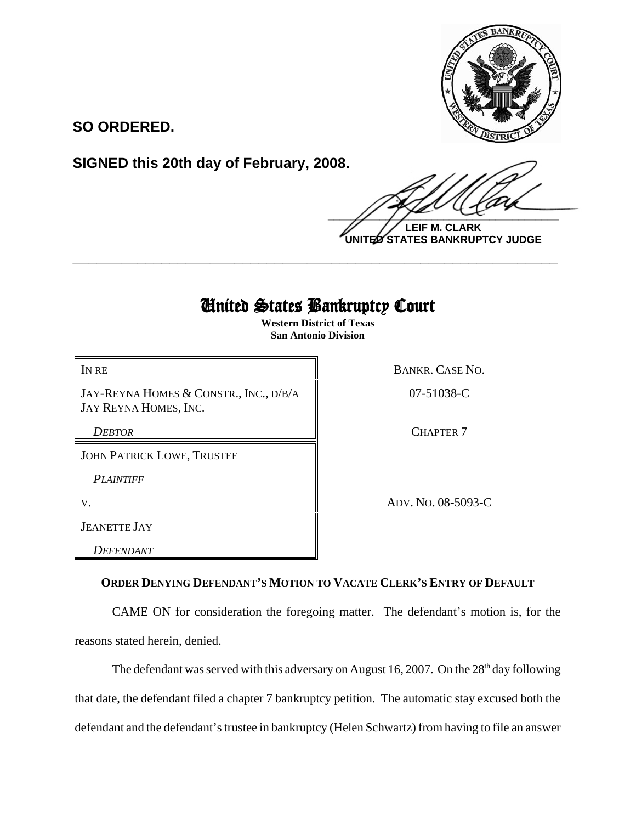

**SO ORDERED.**

**SIGNED this 20th day of February, 2008.**

 $\frac{1}{2}$ 

**LEIF M. CLARK UNITED STATES BANKRUPTCY JUDGE**

## United States Bankruptcy Court

**\_\_\_\_\_\_\_\_\_\_\_\_\_\_\_\_\_\_\_\_\_\_\_\_\_\_\_\_\_\_\_\_\_\_\_\_\_\_\_\_\_\_\_\_\_\_\_\_\_\_\_\_\_\_\_\_\_\_\_\_**

**Western District of Texas San Antonio Division**

JAY-REYNA HOMES & CONSTR., INC., D/B/A JAY REYNA HOMES, INC.

JOHN PATRICK LOWE, TRUSTEE

*PLAINTIFF* 

JEANETTE JAY

*DEFENDANT* 

IN RE BANKR. CASE NO.

07-51038-C

**DEBTOR** CHAPTER 7

V. ADV. NO. 08-5093-C

## **ORDER DENYING DEFENDANT'S MOTION TO VACATE CLERK'S ENTRY OF DEFAULT**

CAME ON for consideration the foregoing matter. The defendant's motion is, for the reasons stated herein, denied.

The defendant was served with this adversary on August 16, 2007. On the  $28<sup>th</sup>$  day following that date, the defendant filed a chapter 7 bankruptcy petition. The automatic stay excused both the defendant and the defendant's trustee in bankruptcy (Helen Schwartz) from having to file an answer